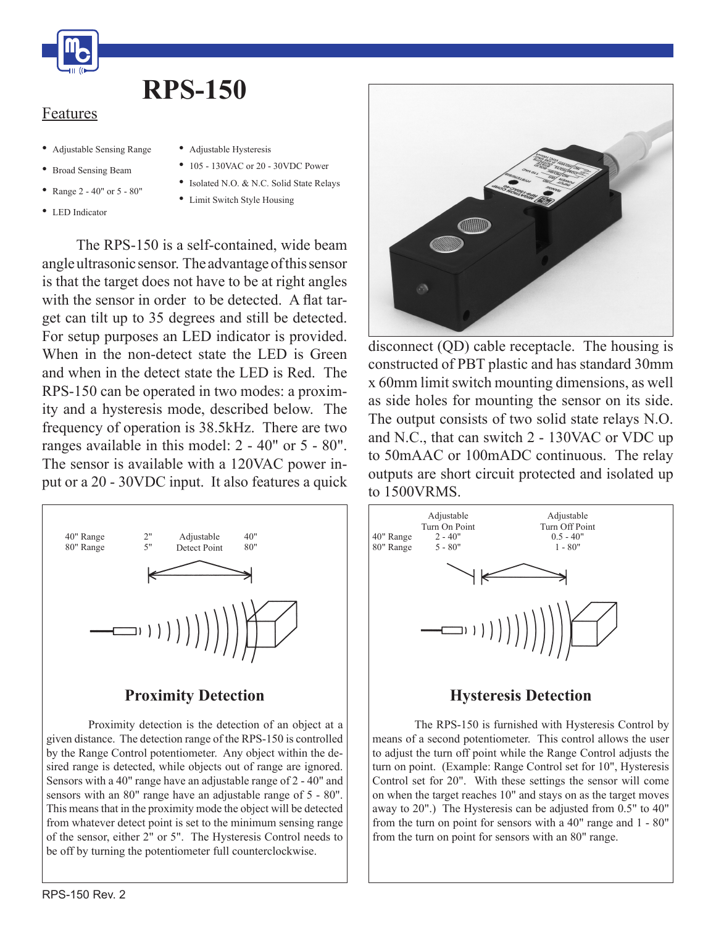

# **RPS-150**

#### Features

- • Adjustable Sensing Range
- • Broad Sensing Beam
- Range  $2 40"$  or  $5 80"$
- LED Indicator
- Adjustable Hysteresis
- 105 130VAC or 20 30VDC Power
- Isolated N.O. & N.C. Solid State Relays
- • Limit Switch Style Housing

 The RPS-150 is a self-contained, wide beam angleultrasonic sensor. The advantage of this sensor is that the target does not have to be at right angles with the sensor in order to be detected. A flat target can tilt up to 35 degrees and still be detected. For setup purposes an LED indicator is provided. When in the non-detect state the LED is Green and when in the detect state the LED is Red. The RPS-150 can be operated in two modes: a proximity and a hysteresis mode, described below. The frequency of operation is 38.5kHz. There are two ranges available in this model: 2 - 40" or 5 - 80". The sensor is available with a 120VAC power input or a 20 - 30VDC input. It also features a quick



### **Proximity Detection**

 Proximity detection is the detection of an object at a given distance. The detection range of the RPS-150 is controlled by the Range Control potentiometer. Any object within the desired range is detected, while objects out of range are ignored. Sensors with a 40" range have an adjustable range of 2 - 40" and sensors with an 80" range have an adjustable range of 5 - 80". This means that in the proximity mode the object will be detected from whatever detect point is set to the minimum sensing range of the sensor, either 2" or 5". The Hysteresis Control needs to be off by turning the potentiometer full counterclockwise.



disconnect (QD) cable receptacle. The housing is constructed of PBT plastic and has standard 30mm x 60mm limitswitch mounting dimensions, as well as side holes for mounting the sensor on its side. The output consists of two solid state relays N.O. and N.C., that can switch 2 - 130VAC or VDC up to 50mAAC or 100mADC continuous. The relay outputs are short circuit protected and isolated up to 1500VRMS.



### **Hysteresis Detection**

 The RPS-150 is furnished with Hysteresis Control by means of a second potentiometer. This control allows the user to adjust the turn off point while the Range Control adjusts the turn on point. (Example: Range Control set for 10", Hysteresis Control set for 20". With these settings the sensor will come on when the target reaches 10" and stays on as the target moves away to 20".) The Hysteresis can be adjusted from 0.5" to 40" from the turn on point for sensors with a 40" range and 1 - 80" from the turn on point for sensors with an 80" range.